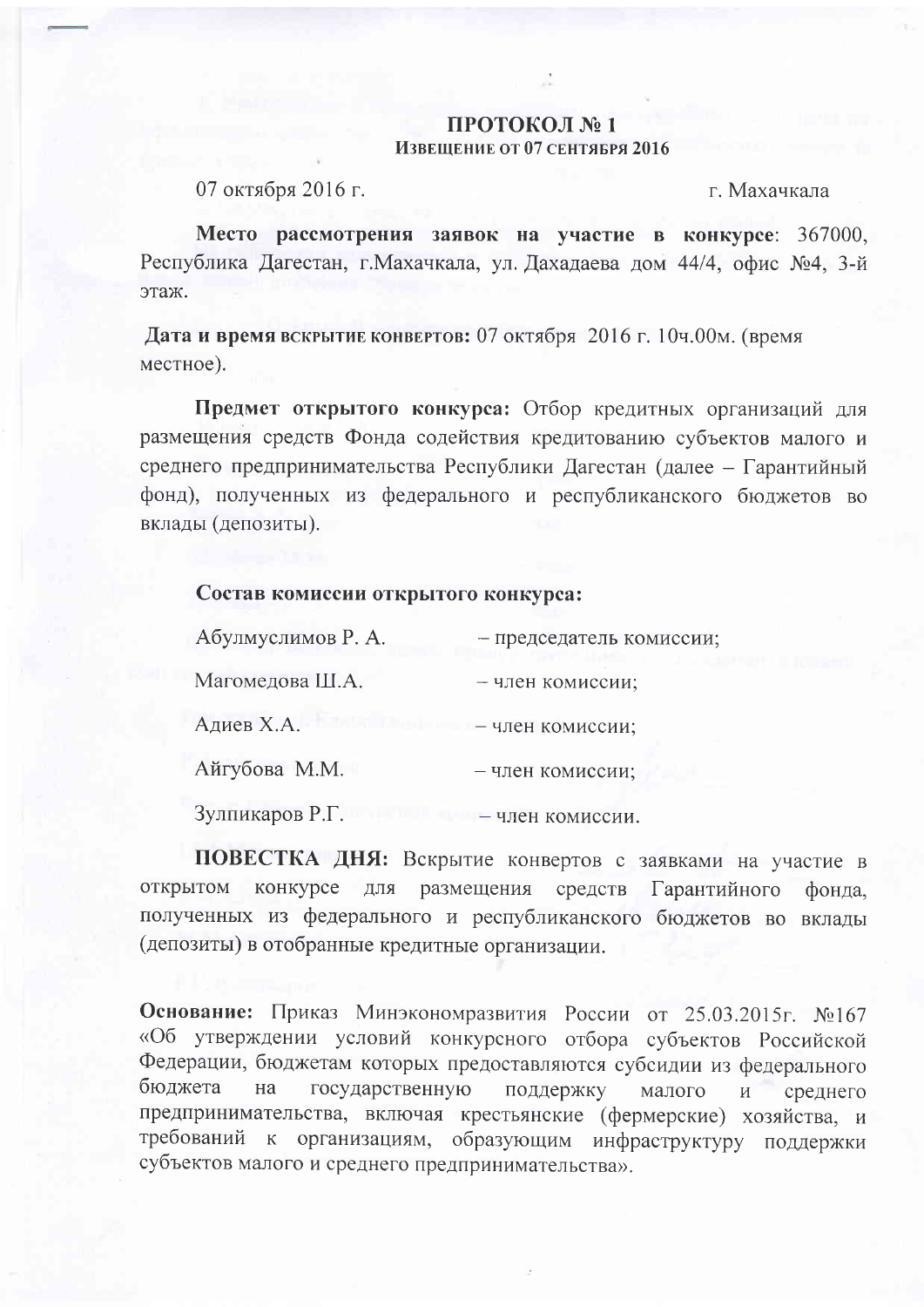## ПРОТОКОЛ №1 Извешение от 07 сентября 2016

07 октября 2016 г.

г. Махачкала

Место рассмотрения заявок на участие в конкурсе: 367000, Республика Дагестан, г. Махачкала, ул. Дахадаева дом 44/4, офис №4, 3-й этаж.

Дата и время вскрытие конвертов: 07 октября 2016 г. 10ч.00м. (время местное).

Предмет открытого конкурса: Отбор кредитных организаций для размещения средств Фонда содействия кредитованию субъектов малого и среднего предпринимательства Республики Дагестан (далее - Гарантийный фонд), полученных из федерального и республиканского бюджетов во вклады (депозиты).

## Состав комиссии открытого конкурса:

| Абулмуслимов Р. А. | - председатель комиссии |
|--------------------|-------------------------|
| Магомедова Ш.А.    | - член комиссии;        |
| Адиев Х.А.         | - член комиссии;        |
| Айгубова М.М.      | - член комиссии;        |
| Зулпикаров Р.Г.    | - член комиссии.        |

ПОВЕСТКА ДНЯ: Вскрытие конвертов с заявками на участие в открытом конкурсе для размещения средств Гарантийного фонда. полученных из федерального и республиканского бюджетов во вклады (депозиты) в отобранные кредитные организации.

Основание: Приказ Минэкономразвития России от 25.03.2015г. №167 «Об утверждении условий конкурсного отбора субъектов Российской Федерации, бюджетам которых предоставляются субсидии из федерального бюджета на государственную поддержку малого среднего И предпринимательства, включая крестьянские (фермерские) хозяйства, и требований к организациям, образующим инфраструктуру поддержки субъектов малого и среднего предпринимательства».